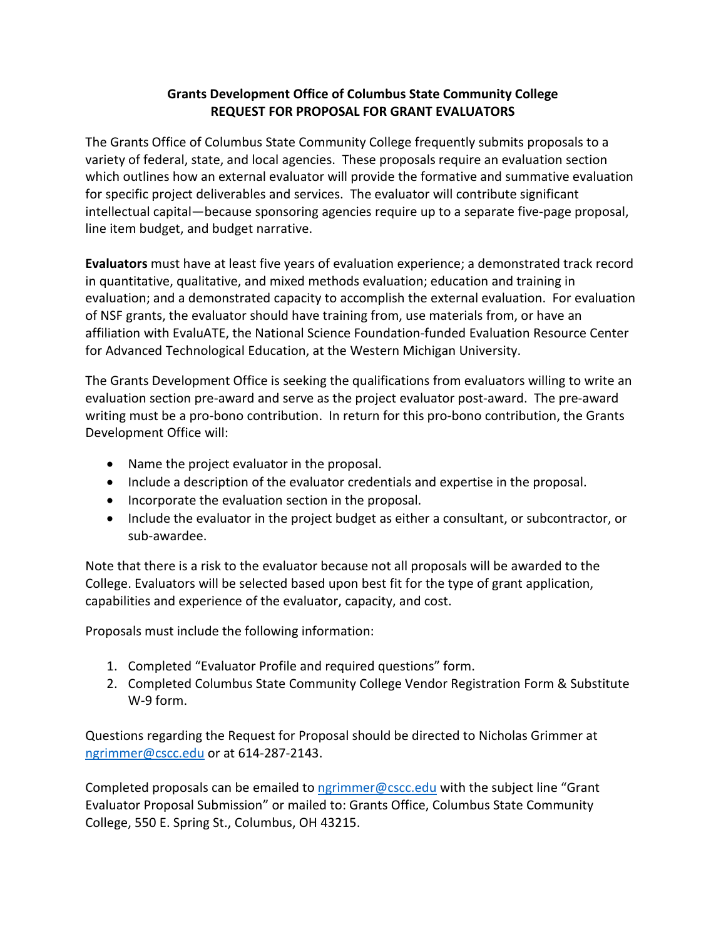## **Grants Development Office of Columbus State Community College REQUEST FOR PROPOSAL FOR GRANT EVALUATORS**

The Grants Office of Columbus State Community College frequently submits proposals to a variety of federal, state, and local agencies. These proposals require an evaluation section which outlines how an external evaluator will provide the formative and summative evaluation for specific project deliverables and services. The evaluator will contribute significant intellectual capital—because sponsoring agencies require up to a separate five-page proposal, line item budget, and budget narrative.

**Evaluators** must have at least five years of evaluation experience; a demonstrated track record in quantitative, qualitative, and mixed methods evaluation; education and training in evaluation; and a demonstrated capacity to accomplish the external evaluation. For evaluation of NSF grants, the evaluator should have training from, use materials from, or have an affiliation with EvaluATE, the National Science Foundation-funded Evaluation Resource Center for Advanced Technological Education, at the Western Michigan University.

The Grants Development Office is seeking the qualifications from evaluators willing to write an evaluation section pre-award and serve as the project evaluator post-award. The pre-award writing must be a pro-bono contribution. In return for this pro-bono contribution, the Grants Development Office will:

- Name the project evaluator in the proposal.
- Include a description of the evaluator credentials and expertise in the proposal.
- Incorporate the evaluation section in the proposal.
- Include the evaluator in the project budget as either a consultant, or subcontractor, or sub-awardee.

Note that there is a risk to the evaluator because not all proposals will be awarded to the College. Evaluators will be selected based upon best fit for the type of grant application, capabilities and experience of the evaluator, capacity, and cost.

Proposals must include the following information:

- 1. Completed "Evaluator Profile and required questions" form.
- 2. Completed Columbus State Community College Vendor Registration Form & Substitute W-9 form.

Questions regarding the Request for Proposal should be directed to Nicholas Grimmer at [ngrimmer@cscc.edu](mailto:ngrimmer@cscc.edu) or at 614-287-2143.

Completed proposals can be emailed to  $ngrimmer@csc.edu$  with the subject line "Grant" Evaluator Proposal Submission" or mailed to: Grants Office, Columbus State Community College, 550 E. Spring St., Columbus, OH 43215.